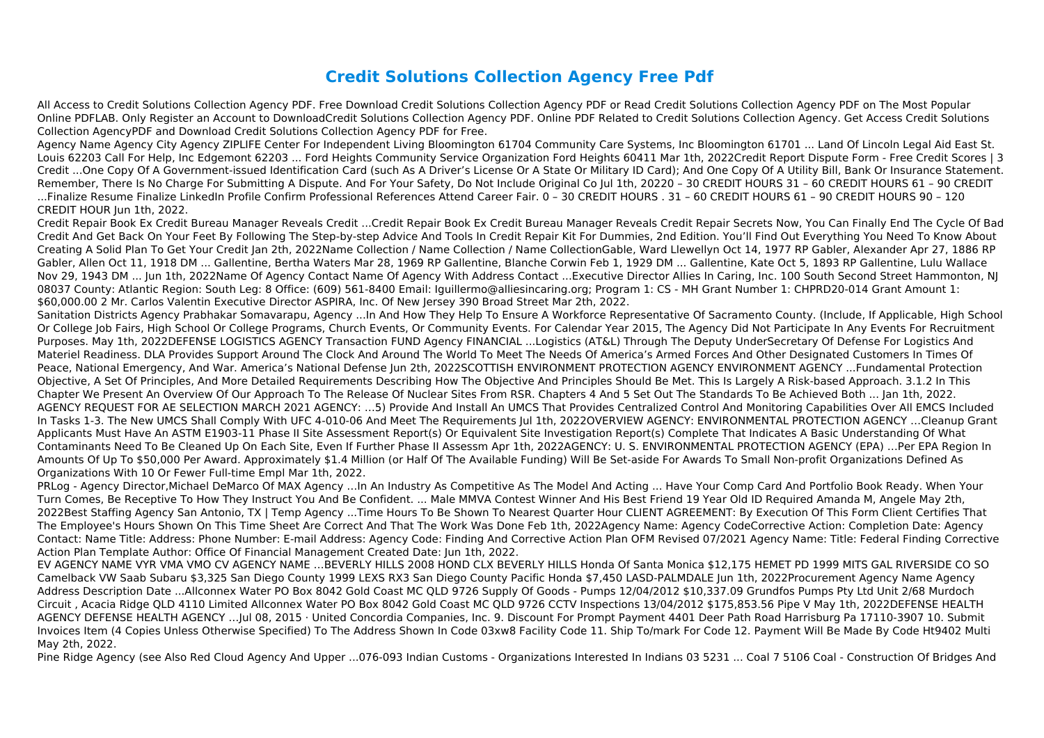## **Credit Solutions Collection Agency Free Pdf**

All Access to Credit Solutions Collection Agency PDF. Free Download Credit Solutions Collection Agency PDF or Read Credit Solutions Collection Agency PDF on The Most Popular Online PDFLAB. Only Register an Account to DownloadCredit Solutions Collection Agency PDF. Online PDF Related to Credit Solutions Collection Agency. Get Access Credit Solutions Collection AgencyPDF and Download Credit Solutions Collection Agency PDF for Free.

Agency Name Agency City Agency ZIPLIFE Center For Independent Living Bloomington 61704 Community Care Systems, Inc Bloomington 61701 ... Land Of Lincoln Legal Aid East St. Louis 62203 Call For Help, Inc Edgemont 62203 ... Ford Heights Community Service Organization Ford Heights 60411 Mar 1th, 2022Credit Report Dispute Form - Free Credit Scores | 3 Credit ...One Copy Of A Government-issued Identification Card (such As A Driver's License Or A State Or Military ID Card); And One Copy Of A Utility Bill, Bank Or Insurance Statement. Remember, There Is No Charge For Submitting A Dispute. And For Your Safety, Do Not Include Original Co Jul 1th, 20220 – 30 CREDIT HOURS 31 – 60 CREDIT HOURS 61 – 90 CREDIT ...Finalize Resume Finalize LinkedIn Profile Confirm Professional References Attend Career Fair. 0 – 30 CREDIT HOURS . 31 – 60 CREDIT HOURS 61 – 90 CREDIT HOURS 90 – 120 CREDIT HOUR Jun 1th, 2022.

Credit Repair Book Ex Credit Bureau Manager Reveals Credit ...Credit Repair Book Ex Credit Bureau Manager Reveals Credit Repair Secrets Now, You Can Finally End The Cycle Of Bad Credit And Get Back On Your Feet By Following The Step-by-step Advice And Tools In Credit Repair Kit For Dummies, 2nd Edition. You'll Find Out Everything You Need To Know About Creating A Solid Plan To Get Your Credit Jan 2th, 2022Name Collection / Name Collection / Name CollectionGable, Ward Llewellyn Oct 14, 1977 RP Gabler, Alexander Apr 27, 1886 RP Gabler, Allen Oct 11, 1918 DM ... Gallentine, Bertha Waters Mar 28, 1969 RP Gallentine, Blanche Corwin Feb 1, 1929 DM ... Gallentine, Kate Oct 5, 1893 RP Gallentine, Lulu Wallace Nov 29, 1943 DM ... Jun 1th, 2022Name Of Agency Contact Name Of Agency With Address Contact ...Executive Director Allies In Caring, Inc. 100 South Second Street Hammonton, NJ 08037 County: Atlantic Region: South Leg: 8 Office: (609) 561-8400 Email: Iguillermo@alliesincaring.org; Program 1: CS - MH Grant Number 1: CHPRD20-014 Grant Amount 1: \$60,000.00 2 Mr. Carlos Valentin Executive Director ASPIRA, Inc. Of New Jersey 390 Broad Street Mar 2th, 2022.

Sanitation Districts Agency Prabhakar Somavarapu, Agency ...In And How They Help To Ensure A Workforce Representative Of Sacramento County. (Include, If Applicable, High School Or College Job Fairs, High School Or College Programs, Church Events, Or Community Events. For Calendar Year 2015, The Agency Did Not Participate In Any Events For Recruitment Purposes. May 1th, 2022DEFENSE LOGISTICS AGENCY Transaction FUND Agency FINANCIAL ...Logistics (AT&L) Through The Deputy UnderSecretary Of Defense For Logistics And Materiel Readiness. DLA Provides Support Around The Clock And Around The World To Meet The Needs Of America's Armed Forces And Other Designated Customers In Times Of Peace, National Emergency, And War. America's National Defense Jun 2th, 2022SCOTTISH ENVIRONMENT PROTECTION AGENCY ENVIRONMENT AGENCY ...Fundamental Protection Objective, A Set Of Principles, And More Detailed Requirements Describing How The Objective And Principles Should Be Met. This Is Largely A Risk-based Approach. 3.1.2 In This Chapter We Present An Overview Of Our Approach To The Release Of Nuclear Sites From RSR. Chapters 4 And 5 Set Out The Standards To Be Achieved Both ... Jan 1th, 2022. AGENCY REQUEST FOR AE SELECTION MARCH 2021 AGENCY: …5) Provide And Install An UMCS That Provides Centralized Control And Monitoring Capabilities Over All EMCS Included In Tasks 1-3. The New UMCS Shall Comply With UFC 4-010-06 And Meet The Requirements Jul 1th, 2022OVERVIEW AGENCY: ENVIRONMENTAL PROTECTION AGENCY …Cleanup Grant Applicants Must Have An ASTM E1903-11 Phase II Site Assessment Report(s) Or Equivalent Site Investigation Report(s) Complete That Indicates A Basic Understanding Of What Contaminants Need To Be Cleaned Up On Each Site, Even If Further Phase II Assessm Apr 1th, 2022AGENCY: U. S. ENVIRONMENTAL PROTECTION AGENCY (EPA) …Per EPA Region In Amounts Of Up To \$50,000 Per Award. Approximately \$1.4 Million (or Half Of The Available Funding) Will Be Set-aside For Awards To Small Non-profit Organizations Defined As Organizations With 10 Or Fewer Full-time Empl Mar 1th, 2022.

PRLog - Agency Director,Michael DeMarco Of MAX Agency …In An Industry As Competitive As The Model And Acting ... Have Your Comp Card And Portfolio Book Ready. When Your Turn Comes, Be Receptive To How They Instruct You And Be Confident. ... Male MMVA Contest Winner And His Best Friend 19 Year Old ID Required Amanda M, Angele May 2th, 2022Best Staffing Agency San Antonio, TX | Temp Agency ...Time Hours To Be Shown To Nearest Quarter Hour CLIENT AGREEMENT: By Execution Of This Form Client Certifies That The Employee's Hours Shown On This Time Sheet Are Correct And That The Work Was Done Feb 1th, 2022Agency Name: Agency CodeCorrective Action: Completion Date: Agency Contact: Name Title: Address: Phone Number: E-mail Address: Agency Code: Finding And Corrective Action Plan OFM Revised 07/2021 Agency Name: Title: Federal Finding Corrective Action Plan Template Author: Office Of Financial Management Created Date: Jun 1th, 2022.

EV AGENCY NAME VYR VMA VMO CV AGENCY NAME …BEVERLY HILLS 2008 HOND CLX BEVERLY HILLS Honda Of Santa Monica \$12,175 HEMET PD 1999 MITS GAL RIVERSIDE CO SO Camelback VW Saab Subaru \$3,325 San Diego County 1999 LEXS RX3 San Diego County Pacific Honda \$7,450 LASD‐PALMDALE Jun 1th, 2022Procurement Agency Name Agency Address Description Date ...Allconnex Water PO Box 8042 Gold Coast MC QLD 9726 Supply Of Goods - Pumps 12/04/2012 \$10,337.09 Grundfos Pumps Pty Ltd Unit 2/68 Murdoch Circuit , Acacia Ridge QLD 4110 Limited Allconnex Water PO Box 8042 Gold Coast MC QLD 9726 CCTV Inspections 13/04/2012 \$175,853.56 Pipe V May 1th, 2022DEFENSE HEALTH AGENCY DEFENSE HEALTH AGENCY …Jul 08, 2015 · United Concordia Companies, Inc. 9. Discount For Prompt Payment 4401 Deer Path Road Harrisburg Pa 17110-3907 10. Submit Invoices Item (4 Copies Unless Otherwise Specified) To The Address Shown In Code 03xw8 Facility Code 11. Ship To/mark For Code 12. Payment Will Be Made By Code Ht9402 Multi May 2th, 2022.

Pine Ridge Agency (see Also Red Cloud Agency And Upper ...076-093 Indian Customs - Organizations Interested In Indians 03 5231 ... Coal 7 5106 Coal - Construction Of Bridges And